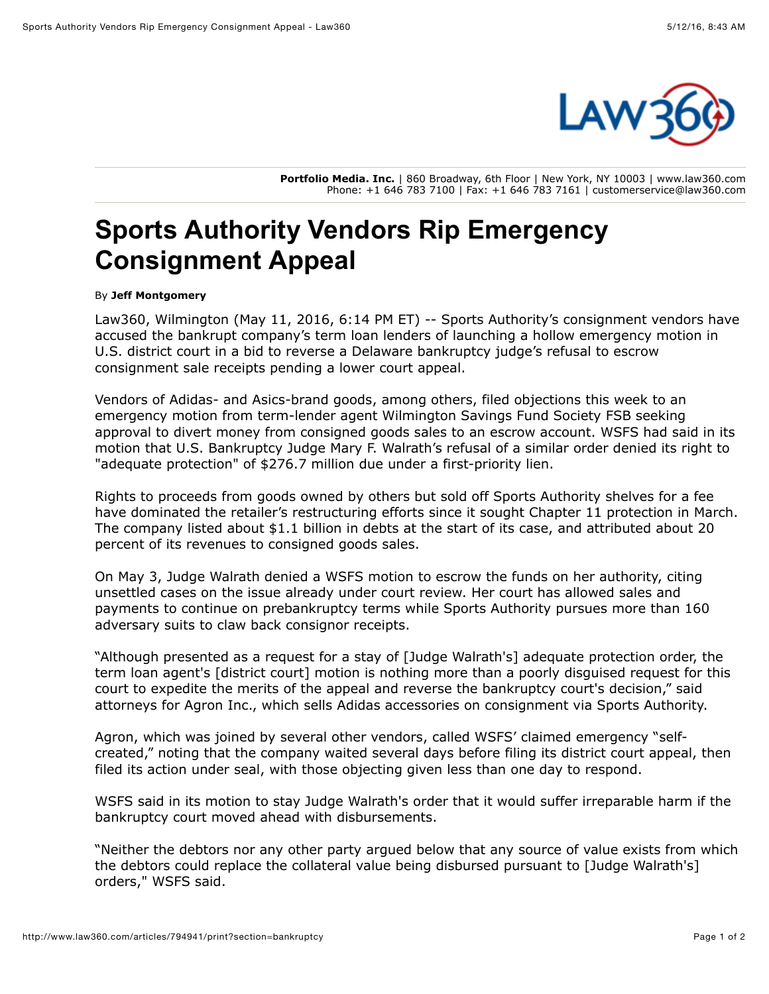

**Portfolio Media. Inc.** | 860 Broadway, 6th Floor | New York, NY 10003 | www.law360.com Phone: +1 646 783 7100 | Fax: +1 646 783 7161 | customerservice@law360.com

## **Sports Authority Vendors Rip Emergency Consignment Appeal**

## By **Jeff Montgomery**

Law360, Wilmington (May 11, 2016, 6:14 PM ET) -- [Sports Authority](http://www.law360.com/company/sports-authority-inc)'s consignment vendors have accused the bankrupt company's term loan lenders of launching a hollow emergency motion in U.S. district court in a bid to reverse a Delaware bankruptcy judge's refusal to escrow consignment sale receipts pending a lower court appeal.

Vendors of [Adidas-](http://www.law360.com/company/adidas-ag) and Asics-brand goods, among others, filed objections this week to an emergency motion from term-lender agent Wilmington Savings Fund Society FSB seeking approval to divert money from consigned goods sales to an escrow account. WSFS had said in its motion that U.S. Bankruptcy Judge Mary F. Walrath's refusal of a similar order denied its right to "adequate protection" of \$276.7 million due under a first-priority lien.

Rights to proceeds from goods owned by others but sold off Sports Authority shelves for a fee have dominated the retailer's restructuring efforts since it sought Chapter 11 protection in March. The company listed about \$1.1 billion in debts at the start of its case, and attributed about 20 percent of its revenues to consigned goods sales.

On May 3, Judge Walrath denied a WSFS motion to escrow the funds on her authority, citing unsettled cases on the issue already under court review. Her court has allowed sales and payments to continue on prebankruptcy terms while Sports Authority pursues more than 160 adversary suits to claw back consignor receipts.

"Although presented as a request for a stay of [Judge Walrath's] adequate protection order, the term loan agent's [district court] motion is nothing more than a poorly disguised request for this court to expedite the merits of the appeal and reverse the bankruptcy court's decision," said attorneys for Agron Inc., which sells Adidas accessories on consignment via Sports Authority.

Agron, which was joined by several other vendors, called WSFS' claimed emergency "selfcreated," noting that the company waited several days before filing its district court appeal, then filed its action under seal, with those objecting given less than one day to respond.

WSFS said in its motion to stay Judge Walrath's order that it would suffer irreparable harm if the bankruptcy court moved ahead with disbursements.

"Neither the debtors nor any other party argued below that any source of value exists from which the debtors could replace the collateral value being disbursed pursuant to [Judge Walrath's] orders," WSFS said.